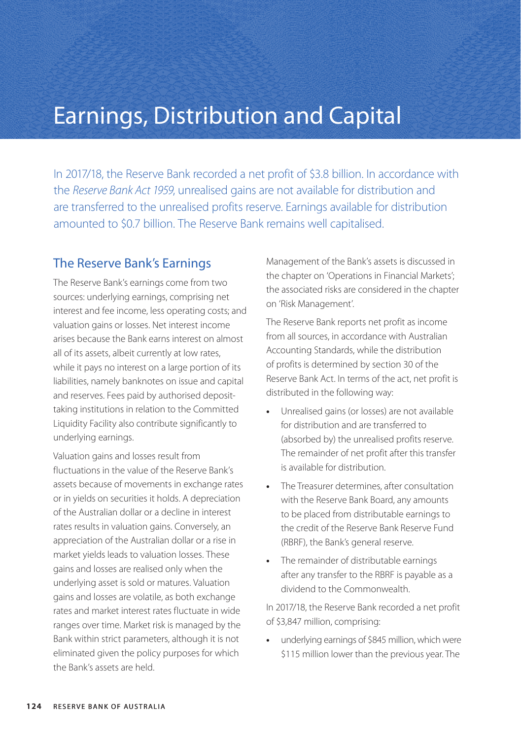## Earnings, Distribution and Capital

In 2017/18, the Reserve Bank recorded a net profit of \$3.8 billion. In accordance with the *Reserve Bank Act 1959*, unrealised gains are not available for distribution and are transferred to the unrealised profits reserve. Earnings available for distribution amounted to \$0.7 billion. The Reserve Bank remains well capitalised.

## The Reserve Bank's Earnings

The Reserve Bank's earnings come from two sources: underlying earnings, comprising net interest and fee income, less operating costs; and valuation gains or losses. Net interest income arises because the Bank earns interest on almost all of its assets, albeit currently at low rates, while it pays no interest on a large portion of its liabilities, namely banknotes on issue and capital and reserves. Fees paid by authorised deposittaking institutions in relation to the Committed Liquidity Facility also contribute significantly to underlying earnings.

Valuation gains and losses result from fluctuations in the value of the Reserve Bank's assets because of movements in exchange rates or in yields on securities it holds. A depreciation of the Australian dollar or a decline in interest rates results in valuation gains. Conversely, an appreciation of the Australian dollar or a rise in market yields leads to valuation losses. These gains and losses are realised only when the underlying asset is sold or matures. Valuation gains and losses are volatile, as both exchange rates and market interest rates fluctuate in wide ranges over time. Market risk is managed by the Bank within strict parameters, although it is not eliminated given the policy purposes for which the Bank's assets are held.

Management of the Bank's assets is discussed in the chapter on 'Operations in Financial Markets'; the associated risks are considered in the chapter on 'Risk Management'.

The Reserve Bank reports net profit as income from all sources, in accordance with Australian Accounting Standards, while the distribution of profits is determined by section 30 of the Reserve Bank Act. In terms of the act, net profit is distributed in the following way:

- **•** Unrealised gains (or losses) are not available for distribution and are transferred to (absorbed by) the unrealised profits reserve. The remainder of net profit after this transfer is available for distribution.
- **•** The Treasurer determines, after consultation with the Reserve Bank Board, any amounts to be placed from distributable earnings to the credit of the Reserve Bank Reserve Fund (RBRF), the Bank's general reserve.
- **•** The remainder of distributable earnings after any transfer to the RBRF is payable as a dividend to the Commonwealth.

In 2017/18, the Reserve Bank recorded a net profit of \$3,847 million, comprising:

**•** underlying earnings of \$845 million, which were \$115 million lower than the previous year. The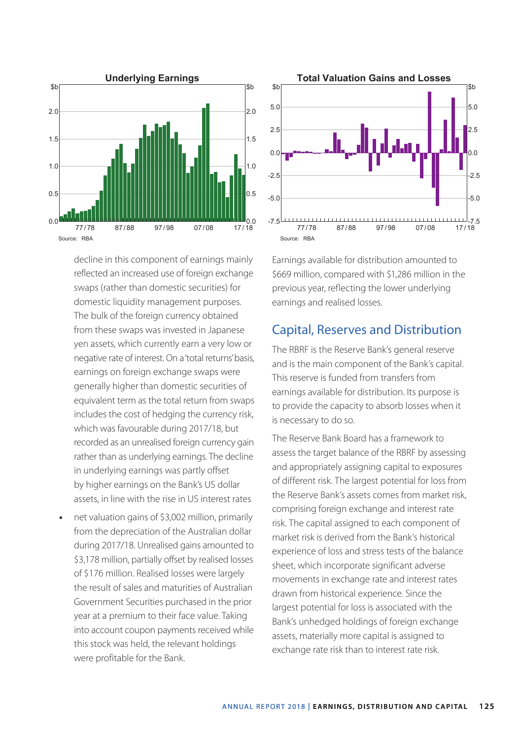

decline in this component of earnings mainly reflected an increased use of foreign exchange swaps (rather than domestic securities) for domestic liquidity management purposes. The bulk of the foreign currency obtained from these swaps was invested in Japanese yen assets, which currently earn a very low or negative rate of interest. On a 'total returns' basis, earnings on foreign exchange swaps were generally higher than domestic securities of equivalent term as the total return from swaps includes the cost of hedging the currency risk, which was favourable during 2017/18, but recorded as an unrealised foreign currency gain rather than as underlying earnings. The decline in underlying earnings was partly offset by higher earnings on the Bank's US dollar assets, in line with the rise in US interest rates

**•** net valuation gains of \$3,002 million, primarily from the depreciation of the Australian dollar during 2017/18. Unrealised gains amounted to \$3,178 million, partially offset by realised losses of \$176 million. Realised losses were largely the result of sales and maturities of Australian Government Securities purchased in the prior year at a premium to their face value. Taking into account coupon payments received while this stock was held, the relevant holdings were profitable for the Bank.



Earnings available for distribution amounted to \$669 million, compared with \$1,286 million in the previous year, reflecting the lower underlying earnings and realised losses.

## Capital, Reserves and Distribution

The RBRF is the Reserve Bank's general reserve and is the main component of the Bank's capital. This reserve is funded from transfers from earnings available for distribution. Its purpose is to provide the capacity to absorb losses when it is necessary to do so.

The Reserve Bank Board has a framework to assess the target balance of the RBRF by assessing and appropriately assigning capital to exposures of different risk. The largest potential for loss from the Reserve Bank's assets comes from market risk, comprising foreign exchange and interest rate risk. The capital assigned to each component of market risk is derived from the Bank's historical experience of loss and stress tests of the balance sheet, which incorporate significant adverse movements in exchange rate and interest rates drawn from historical experience. Since the largest potential for loss is associated with the Bank's unhedged holdings of foreign exchange assets, materially more capital is assigned to exchange rate risk than to interest rate risk.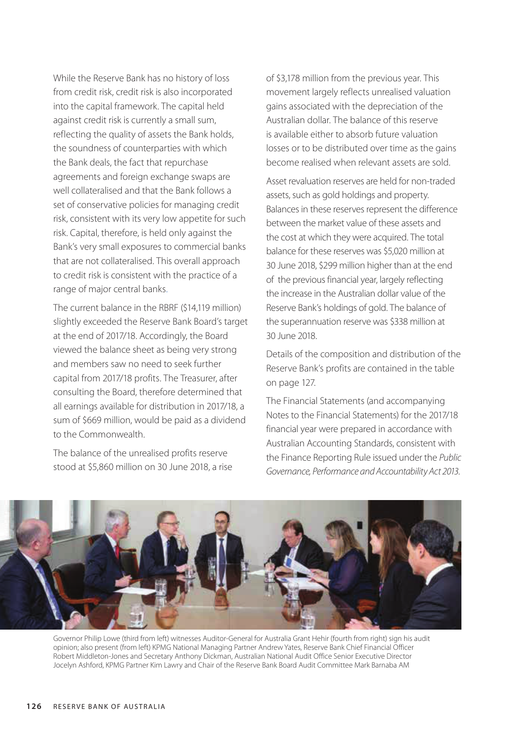While the Reserve Bank has no history of loss from credit risk, credit risk is also incorporated into the capital framework. The capital held against credit risk is currently a small sum, reflecting the quality of assets the Bank holds, the soundness of counterparties with which the Bank deals, the fact that repurchase agreements and foreign exchange swaps are well collateralised and that the Bank follows a set of conservative policies for managing credit risk, consistent with its very low appetite for such risk. Capital, therefore, is held only against the Bank's very small exposures to commercial banks that are not collateralised. This overall approach to credit risk is consistent with the practice of a range of major central banks.

The current balance in the RBRF (\$14,119 million) slightly exceeded the Reserve Bank Board's target at the end of 2017/18. Accordingly, the Board viewed the balance sheet as being very strong and members saw no need to seek further capital from 2017/18 profits. The Treasurer, after consulting the Board, therefore determined that all earnings available for distribution in 2017/18, a sum of \$669 million, would be paid as a dividend to the Commonwealth.

The balance of the unrealised profits reserve stood at \$5,860 million on 30 June 2018, a rise of \$3,178 million from the previous year. This movement largely reflects unrealised valuation gains associated with the depreciation of the Australian dollar. The balance of this reserve is available either to absorb future valuation losses or to be distributed over time as the gains become realised when relevant assets are sold.

Asset revaluation reserves are held for non-traded assets, such as gold holdings and property. Balances in these reserves represent the difference between the market value of these assets and the cost at which they were acquired. The total balance for these reserves was \$5,020 million at 30 June 2018, \$299 million higher than at the end of the previous financial year, largely reflecting the increase in the Australian dollar value of the Reserve Bank's holdings of gold. The balance of the superannuation reserve was \$338 million at 30 June 2018.

Details of the composition and distribution of the Reserve Bank's profits are contained in the table on page 127.

The Financial Statements (and accompanying Notes to the Financial Statements) for the 2017/18 financial year were prepared in accordance with Australian Accounting Standards, consistent with the Finance Reporting Rule issued under the *Public Governance, Performance and Accountability Act 2013.* 



Governor Philip Lowe (third from left) witnesses Auditor-General for Australia Grant Hehir (fourth from right) sign his audit opinion; also present (from left) KPMG National Managing Partner Andrew Yates, Reserve Bank Chief Financial Officer Robert Middleton-Jones and Secretary Anthony Dickman, Australian National Audit Office Senior Executive Director Jocelyn Ashford, KPMG Partner Kim Lawry and Chair of the Reserve Bank Board Audit Committee Mark Barnaba AM